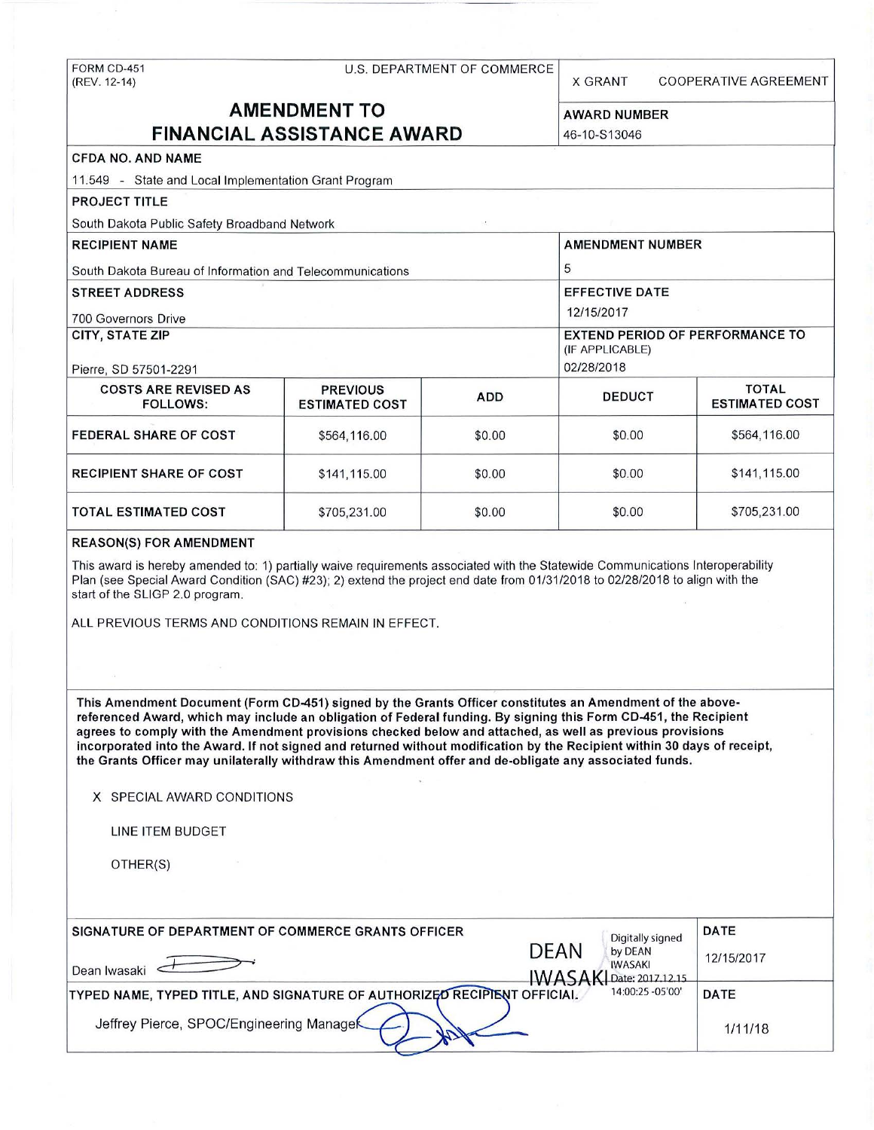# FORM CD-451 U.S. DEPARTMENT OF COMMERCE

X GRANT COOPERATIVE AGREEMENT

## **AMENDMENT TO** AWARD NUMBER **FINANCIAL ASSISTANCE AWARD** 46-10-S13046

(IF APPLICABLE)

## **CFDA NO. AND NAME**  11 .549 - State and Local Implementation Grant Program **PROJECT TITLE**  South Dakota Public Safety Broadband Network **RECIPIENT NAME** AMENDMENT NUMBER South Dakota Bureau of Information and Telecommunications **5** 5 **STREET ADDRESS EXECUTE DATE** 700 Governors Drive 2012 12/15/2017 **CITY, STATE ZIP** EXTEND PERIOD OF PERFORMANCE TO Pierre, SD 57501-2291 02/28/2018

| <b>COSTS ARE REVISED AS</b><br><b>FOLLOWS:</b> | <b>PREVIOUS</b><br><b>ESTIMATED COST</b> | <b>ADD</b> | <b>DEDUCT</b> | <b>TOTAL</b><br><b>ESTIMATED COST</b> |
|------------------------------------------------|------------------------------------------|------------|---------------|---------------------------------------|
|                                                |                                          |            |               |                                       |
| <b>FEDERAL SHARE OF COST</b>                   | \$564,116.00                             | \$0.00     | \$0.00        | \$564,116.00                          |
| <b>RECIPIENT SHARE OF COST</b>                 | \$141,115.00                             | \$0.00     | \$0.00        | \$141,115.00                          |
| <b>TOTAL ESTIMATED COST</b>                    | \$705,231.00                             | \$0.00     | \$0.00        | \$705,231.00                          |

#### **REASON(S) FOR AMENDMENT**

This award is hereby amended to: 1) partially waive requirements associated with the Statewide Communications Interoperability Plan (see Special Award Condition (SAC) #23); 2) extend the project end date from 01/31/2018 to 02/28/2018 to align with the start of the SLIGP 2.0 program.

ALL PREVIOUS TERMS AND CONDITIONS REMAIN IN EFFECT.

This **Amendment Document** (Form **CD-451) signed by the Grants Officer constitutes an Amendment of the abovereferenced Award, which may include an obligation of Federal funding. By signing this Form CD-451, the Recipient agrees to comply with the Amendment provisions checked below and attached, as well as previous provisions**  incorporated into the **Award.** If not signed and returned without modification by the Recipient within 30 days of receipt, **the Grants Officer may unilaterally withdraw this Amendment offer and de-obligate any associated funds.** 

**X** SPECIAL AWARD CONDITIONS

LINE ITEM BUDGET

OTHER(S)

| SIGNATURE OF DEPARTMENT OF COMMERCE GRANTS OFFICER<br>Dean Iwasaki       | <b>DEAN</b><br>IWASA | Digitally signed<br>by DEAN<br><b>IWASAKI</b><br>Date: 2017.12.15 | <b>DATE</b><br>12/15/2017 |
|--------------------------------------------------------------------------|----------------------|-------------------------------------------------------------------|---------------------------|
| TYPED NAME, TYPED TITLE, AND SIGNATURE OF AUTHORIZED RECIPIENT OFFICIAL. |                      | 14:00:25 - 05'00"                                                 | <b>DATE</b>               |
| Jeffrey Pierce, SPOC/Engineering Managek                                 |                      |                                                                   | 1/11/18                   |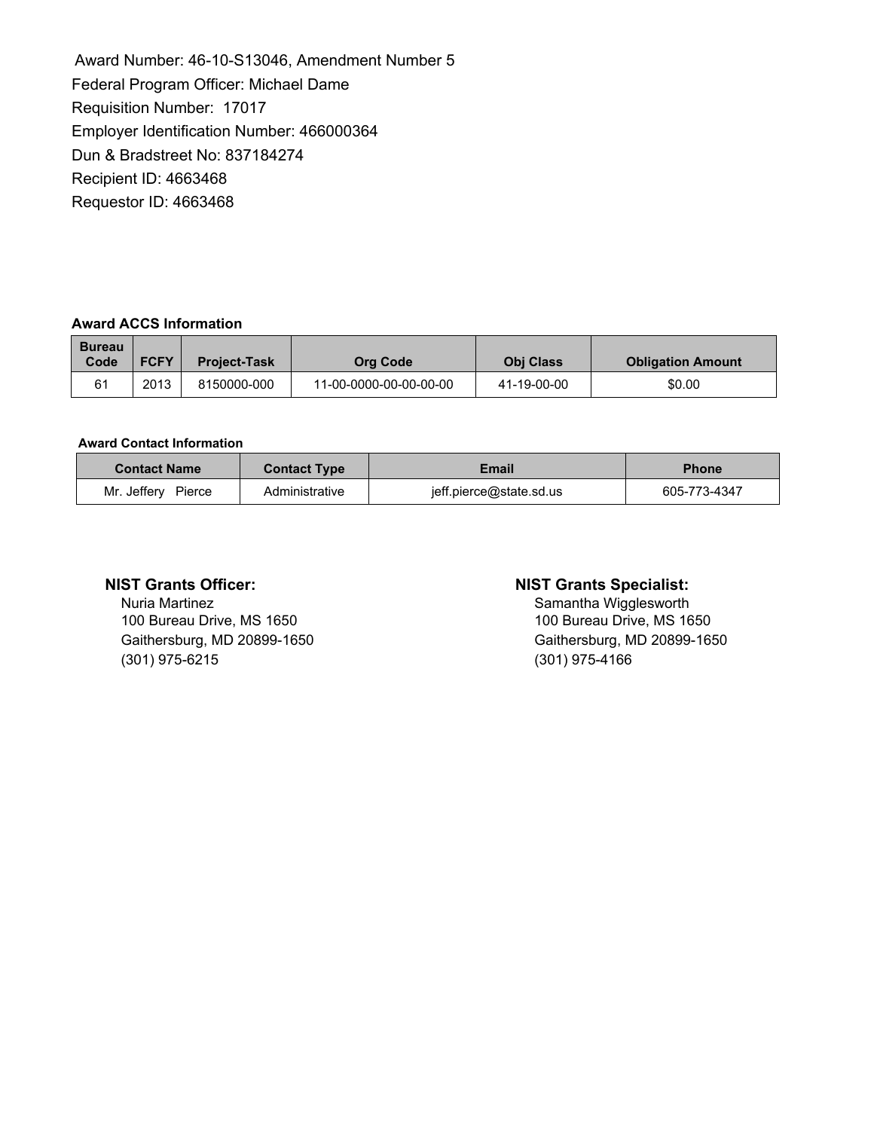Award Number: 46-10-S13046, Amendment Number 5 Federal Program Officer: Michael Dame Requisition Number: 17017 Employer Identification Number: 466000364 Dun & Bradstreet No: 837184274 Recipient ID: 4663468 Requestor ID: 4663468

### **Award ACCS Information**

| <b>Bureau</b><br>Code | <b>FCFY</b> | <b>Project-Task</b> | <b>Org Code</b>        | <b>Obi Class</b> | <b>Obligation Amount</b> |
|-----------------------|-------------|---------------------|------------------------|------------------|--------------------------|
| 61                    | 2013        | 8150000-000         | 11-00-0000-00-00-00-00 | 41-19-00-00      | \$0.00                   |

#### **Award Contact Information**

| <b>Contact Name</b>   | <b>Contact Type</b> | Email                   | <b>Phone</b> |
|-----------------------|---------------------|-------------------------|--------------|
| Mr. Jeffery<br>Pierce | Administrative      | jeff.pierce@state.sd.us | 605-773-4347 |

Nuria Martinez<br>
100 Bureau Drive, MS 1650<br>
100 Bureau Drive, MS 1650<br>
100 Bureau Drive, MS 1650 100 Bureau Drive, MS 1650 (301) 975-6215 (301) 975-4166

#### **NIST Grants Officer: NIST Grants Specialist:**

Gaithersburg, MD 20899-1650 Gaithersburg, MD 20899-1650